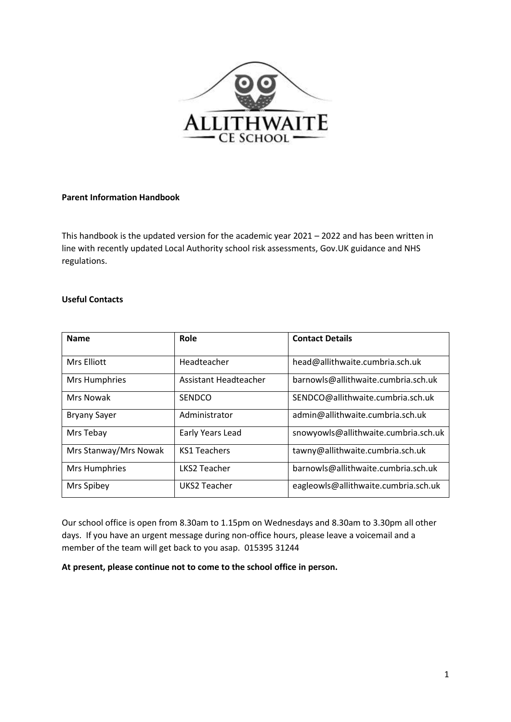

# **Parent Information Handbook**

This handbook is the updated version for the academic year 2021 – 2022 and has been written in line with recently updated Local Authority school risk assessments, Gov.UK guidance and NHS regulations.

## **Useful Contacts**

| <b>Name</b>           | Role                  | <b>Contact Details</b>               |
|-----------------------|-----------------------|--------------------------------------|
| Mrs Elliott           | Headteacher           | head@allithwaite.cumbria.sch.uk      |
| <b>Mrs Humphries</b>  | Assistant Headteacher | barnowls@allithwaite.cumbria.sch.uk  |
| Mrs Nowak             | <b>SENDCO</b>         | SENDCO@allithwaite.cumbria.sch.uk    |
| <b>Bryany Sayer</b>   | Administrator         | admin@allithwaite.cumbria.sch.uk     |
| Mrs Tebay             | Early Years Lead      | snowyowls@allithwaite.cumbria.sch.uk |
| Mrs Stanway/Mrs Nowak | <b>KS1 Teachers</b>   | tawny@allithwaite.cumbria.sch.uk     |
| Mrs Humphries         | <b>LKS2 Teacher</b>   | barnowls@allithwaite.cumbria.sch.uk  |
| Mrs Spibey            | UKS2 Teacher          | eagleowls@allithwaite.cumbria.sch.uk |

Our school office is open from 8.30am to 1.15pm on Wednesdays and 8.30am to 3.30pm all other days. If you have an urgent message during non-office hours, please leave a voicemail and a member of the team will get back to you asap. 015395 31244

**At present, please continue not to come to the school office in person.**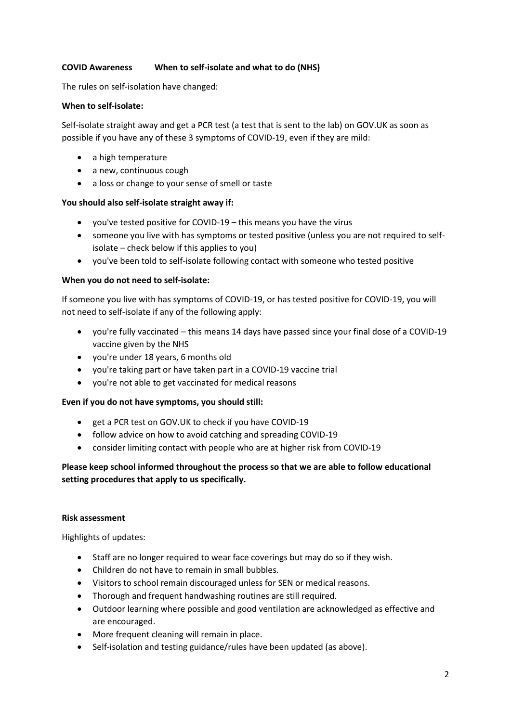## **COVID Awareness When to self-isolate and what to do (NHS)**

The rules on self-isolation have changed:

#### **When to self-isolate:**

Self-isolate straight away and get a PCR test (a test that is sent to the lab) on GOV.UK as soon as possible if you have any of these 3 symptoms of COVID-19, even if they are mild:

- a high temperature
- a new, continuous cough
- a loss or change to your sense of smell or taste

#### **You should also self-isolate straight away if:**

- you've tested positive for COVID-19 this means you have the virus
- someone you live with has symptoms or tested positive (unless you are not required to selfisolate – check below if this applies to you)
- you've been told to self-isolate following contact with someone who tested positive

## **When you do not need to self-isolate:**

If someone you live with has symptoms of COVID-19, or has tested positive for COVID-19, you will not need to self-isolate if any of the following apply:

- you're fully vaccinated this means 14 days have passed since your final dose of a COVID-19 vaccine given by the NHS
- you're under 18 years, 6 months old
- you're taking part or have taken part in a COVID-19 vaccine trial
- you're not able to get vaccinated for medical reasons

#### **Even if you do not have symptoms, you should still:**

- get a PCR test on GOV.UK to check if you have COVID-19
- follow advice on how to avoid catching and spreading COVID-19
- consider limiting contact with people who are at higher risk from COVID-19

# **Please keep school informed throughout the process so that we are able to follow educational setting procedures that apply to us specifically.**

#### **Risk assessment**

Highlights of updates:

- Staff are no longer required to wear face coverings but may do so if they wish.
- Children do not have to remain in small bubbles.
- Visitors to school remain discouraged unless for SEN or medical reasons.
- Thorough and frequent handwashing routines are still required.
- Outdoor learning where possible and good ventilation are acknowledged as effective and are encouraged.
- More frequent cleaning will remain in place.
- Self-isolation and testing guidance/rules have been updated (as above).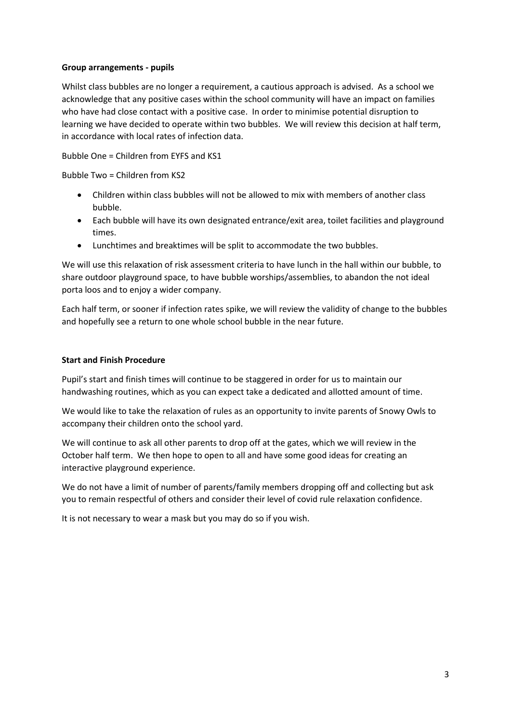## **Group arrangements - pupils**

Whilst class bubbles are no longer a requirement, a cautious approach is advised. As a school we acknowledge that any positive cases within the school community will have an impact on families who have had close contact with a positive case. In order to minimise potential disruption to learning we have decided to operate within two bubbles. We will review this decision at half term, in accordance with local rates of infection data.

Bubble One = Children from EYFS and KS1

Bubble Two = Children from KS2

- Children within class bubbles will not be allowed to mix with members of another class bubble.
- Each bubble will have its own designated entrance/exit area, toilet facilities and playground times.
- Lunchtimes and breaktimes will be split to accommodate the two bubbles.

We will use this relaxation of risk assessment criteria to have lunch in the hall within our bubble, to share outdoor playground space, to have bubble worships/assemblies, to abandon the not ideal porta loos and to enjoy a wider company.

Each half term, or sooner if infection rates spike, we will review the validity of change to the bubbles and hopefully see a return to one whole school bubble in the near future.

#### **Start and Finish Procedure**

Pupil's start and finish times will continue to be staggered in order for us to maintain our handwashing routines, which as you can expect take a dedicated and allotted amount of time.

We would like to take the relaxation of rules as an opportunity to invite parents of Snowy Owls to accompany their children onto the school yard.

We will continue to ask all other parents to drop off at the gates, which we will review in the October half term. We then hope to open to all and have some good ideas for creating an interactive playground experience.

We do not have a limit of number of parents/family members dropping off and collecting but ask you to remain respectful of others and consider their level of covid rule relaxation confidence.

It is not necessary to wear a mask but you may do so if you wish.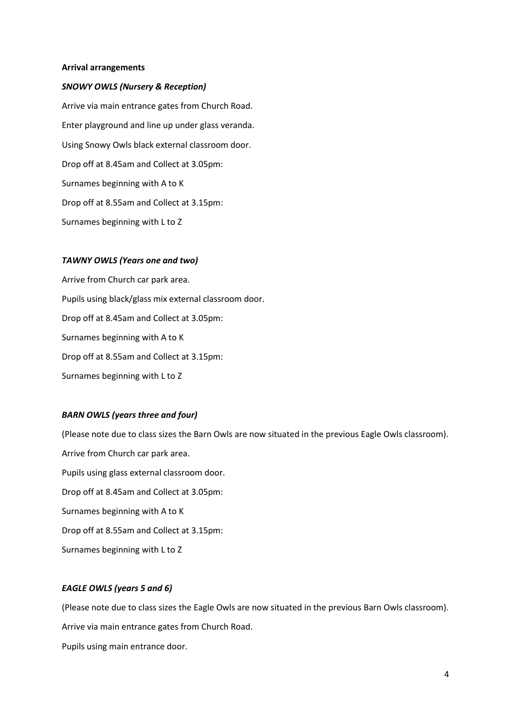#### **Arrival arrangements**

#### *SNOWY OWLS (Nursery & Reception)*

Arrive via main entrance gates from Church Road. Enter playground and line up under glass veranda. Using Snowy Owls black external classroom door. Drop off at 8.45am and Collect at 3.05pm: Surnames beginning with A to K Drop off at 8.55am and Collect at 3.15pm: Surnames beginning with L to Z

#### *TAWNY OWLS (Years one and two)*

Arrive from Church car park area. Pupils using black/glass mix external classroom door. Drop off at 8.45am and Collect at 3.05pm: Surnames beginning with A to K Drop off at 8.55am and Collect at 3.15pm: Surnames beginning with L to Z

#### *BARN OWLS (years three and four)*

(Please note due to class sizes the Barn Owls are now situated in the previous Eagle Owls classroom). Arrive from Church car park area. Pupils using glass external classroom door. Drop off at 8.45am and Collect at 3.05pm: Surnames beginning with A to K Drop off at 8.55am and Collect at 3.15pm: Surnames beginning with L to Z

### *EAGLE OWLS (years 5 and 6)*

(Please note due to class sizes the Eagle Owls are now situated in the previous Barn Owls classroom).

Arrive via main entrance gates from Church Road.

Pupils using main entrance door.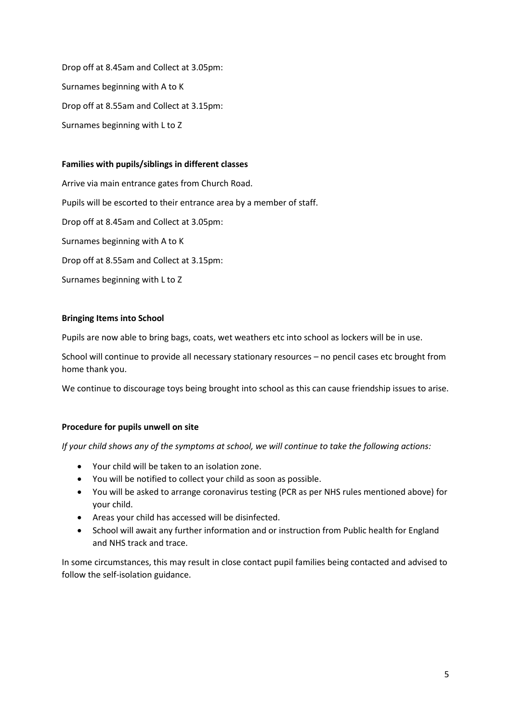Drop off at 8.45am and Collect at 3.05pm: Surnames beginning with A to K Drop off at 8.55am and Collect at 3.15pm: Surnames beginning with L to Z

## **Families with pupils/siblings in different classes**

Arrive via main entrance gates from Church Road. Pupils will be escorted to their entrance area by a member of staff. Drop off at 8.45am and Collect at 3.05pm: Surnames beginning with A to K Drop off at 8.55am and Collect at 3.15pm: Surnames beginning with L to Z

# **Bringing Items into School**

Pupils are now able to bring bags, coats, wet weathers etc into school as lockers will be in use.

School will continue to provide all necessary stationary resources – no pencil cases etc brought from home thank you.

We continue to discourage toys being brought into school as this can cause friendship issues to arise.

# **Procedure for pupils unwell on site**

*If your child shows any of the symptoms at school, we will continue to take the following actions:*

- Your child will be taken to an isolation zone.
- You will be notified to collect your child as soon as possible.
- You will be asked to arrange coronavirus testing (PCR as per NHS rules mentioned above) for your child.
- Areas your child has accessed will be disinfected.
- School will await any further information and or instruction from Public health for England and NHS track and trace.

In some circumstances, this may result in close contact pupil families being contacted and advised to follow the self-isolation guidance.